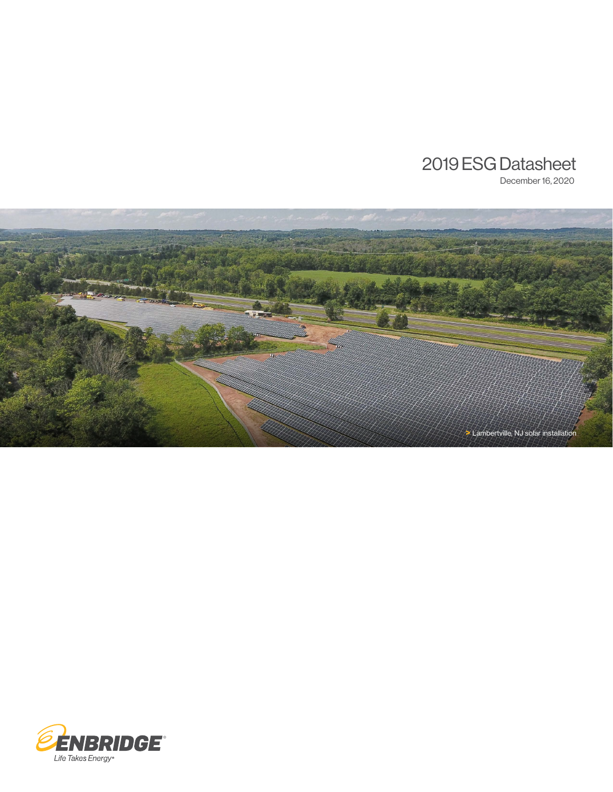# 2019 ESG Datasheet

December 16, 2020



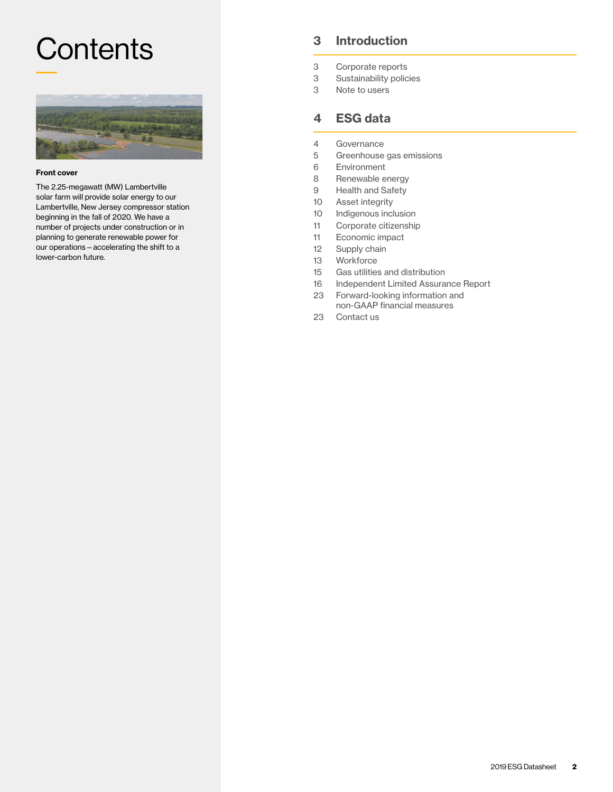# Contents 3 [Introduction](#page-2-0) 3 Introduction



#### Front cover

The 2.25-megawatt (MW) Lambertville solar farm will provide solar energy to our Lambertville, New Jersey compressor station beginning in the fall of 2020. We have a number of projects under construction or in planning to generate renewable power for our operations—accelerating the shift to a lower-carbon future.

- [Corporate reports](#page-2-0)
- 3 [Sustainability policies](#page-2-0)
- 3 [Note to users](#page-2-0)

## 4 [ESG data](#page-3-0)

- 4 [Governance](#page-3-0)
- 5 [Greenhouse gas emissions](#page-4-0)
- 6 [Environment](#page-5-0)
- 8 [Renewable energy](#page-7-0)
- 9 [Health and Safety](#page-8-0)
- 10 [Asset integrity](#page-9-0)
- 10 [Indigenous inclusion](#page-9-0)
- 11 [Corporate citizenship](#page-10-0)
- 11 [Economic impact](#page-10-0)
- 12 [Supply chain](#page-11-0)
- 13 [Workforce](#page-12-0)
- 15 [Gas utilities and distribution](#page-14-0)
- 16 [Independent Limited Assurance Report](#page-15-0)
- 23 [Forward-looking information and](#page-22-0)  [non-GAAP financial measures](#page-22-0)
- 23 [Contact us](#page-22-0)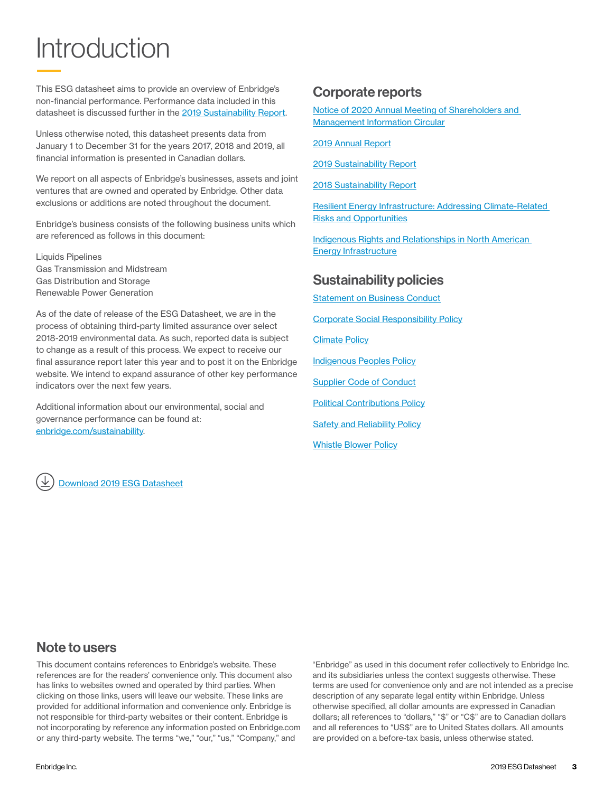# <span id="page-2-0"></span>**Introduction**

This ESG datasheet aims to provide an overview of Enbridge's non-financial performance. Performance data included in this datasheet is discussed further in the [2019 Sustainability Report](http://www.enbridge.com/~/media/Enb/Documents/Reports/CSR_2019_FULL-1009).

Unless otherwise noted, this datasheet presents data from January 1 to December 31 for the years 2017, 2018 and 2019, all financial information is presented in Canadian dollars.

We report on all aspects of Enbridge's businesses, assets and joint ventures that are owned and operated by Enbridge. Other data exclusions or additions are noted throughout the document.

Enbridge's business consists of the following business units which are referenced as follows in this document:

Liquids Pipelines Gas Transmission and Midstream Gas Distribution and Storage Renewable Power Generation

As of the date of release of the ESG Datasheet, we are in the process of obtaining third-party limited assurance over select 2018-2019 environmental data. As such, reported data is subject to change as a result of this process. We expect to receive our final assurance report later this year and to post it on the Enbridge website. We intend to expand assurance of other key performance indicators over the next few years.

Additional information about our environmental, social and governance performance can be found at: [enbridge.com/sustainability](https://www.enbridge.com/sustainability).



## Corporate reports

[Notice of 2020 Annual Meeting of Shareholders and](https://www.enbridge.com/investment-center/reports-and-sec-filings/~/media/Enb/Documents/Investor%20Relations/2020/2020_ENB_AnnualMeeting_MIC.pdf)  [Management Information Circular](https://www.enbridge.com/investment-center/reports-and-sec-filings/~/media/Enb/Documents/Investor%20Relations/2020/2020_ENB_AnnualMeeting_MIC.pdf)

[2019 Annual Report](https://www.enbridge.com/investment-center/reports-and-sec-filings/~/media/Enb/Documents/Investor%20Relations/2020/ENB_2019_Annual_Report.pdf)

[2019 Sustainability Report](http://www.enbridge.com/~/media/Enb/Documents/Reports/CSR_2019_FULL-1009)

[2018 Sustainability Report](https://www.enbridge.com/sustainability-reports/sustainability-report-2018)

[Resilient Energy Infrastructure: Addressing Climate-Related](https://www.enbridge.com/sustainability-reports/resilient-energy-infrastructure/intro)  [Risks and Opportunities](https://www.enbridge.com/sustainability-reports/resilient-energy-infrastructure/intro)

[Indigenous Rights and Relationships in North American](https://www.enbridge.com/sustainability-reports/indigenous-discussion-paper/preface)  [Energy Infrastructure](https://www.enbridge.com/sustainability-reports/indigenous-discussion-paper/preface)

## Sustainability policies

**[Statement on Business Conduct](https://www.enbridge.com/~/media/Enb/Documents/Governance/CG_Statement_on_Business_Conduct_EN.pdf?la=en)** 

[Corporate Social Responsibility Policy](https://www.enbridge.com/~/media/Enb/Documents/CSR/Policies/csr-policy.pdf?la=en)

[Climate Policy](https://www.enbridge.com/~/media/Enb/Documents/CSR/Policies/climate_policy.pdf)

[Indigenous Peoples Policy](https://www.enbridge.com/~/media/Enb/Documents/About%20Us/indigenous_peoples_policy.pdf?la=en)

[Supplier Code of Conduct](https://www.enbridge.com/~/media/Enb/Documents/Work%20with%20Enbridge/ENB%20Supplier%20Code%20of%20Conduct.pdf?la=en)

**[Political Contributions Policy](https://www.enbridge.com/~/media/Enb/Documents/Investor%20Relations/CorporateGovernance/ENB_Political_Contributions_Policy.pdf?la=en)** 

**[Safety and Reliability Policy](https://www.enbridge.com/about-us/safety/safety-and-reliability-policy)** 

[Whistle Blower Policy](https://www.enbridge.com/~/media/Enb/Documents/Governance/GG_Whistle_Blower_Policy.pdf?la=en)

## Note to users

This document contains references to Enbridge's website. These references are for the readers' convenience only. This document also has links to websites owned and operated by third parties. When clicking on those links, users will leave our website. These links are provided for additional information and convenience only. Enbridge is not responsible for third-party websites or their content. Enbridge is not incorporating by reference any information posted on Enbridge.com or any third-party website. The terms "we," "our," "us," "Company," and

"Enbridge" as used in this document refer collectively to Enbridge Inc. and its subsidiaries unless the context suggests otherwise. These terms are used for convenience only and are not intended as a precise description of any separate legal entity within Enbridge. Unless otherwise specified, all dollar amounts are expressed in Canadian dollars; all references to "dollars," "\$" or "C\$" are to Canadian dollars and all references to "US\$" are to United States dollars. All amounts are provided on a before-tax basis, unless otherwise stated.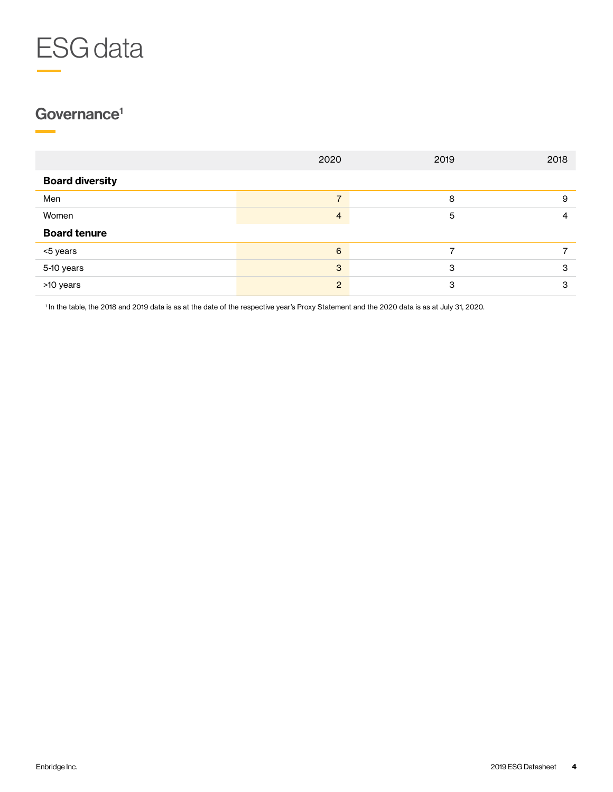<span id="page-3-0"></span>

# Governance<sup>1</sup>

|                        | 2020                     | 2019 | 2018 |
|------------------------|--------------------------|------|------|
| <b>Board diversity</b> |                          |      |      |
| Men                    | $\overline{\phantom{0}}$ | 8    | 9    |
| Women                  | 4                        | 5    | 4    |
| <b>Board tenure</b>    |                          |      |      |
| <5 years               | 6                        |      |      |
| 5-10 years             | 3                        | 3    | 3    |
| >10 years              | $\mathcal{P}$            | 3    | З    |

1 In the table, the 2018 and 2019 data is as at the date of the respective year's Proxy Statement and the 2020 data is as at July 31, 2020.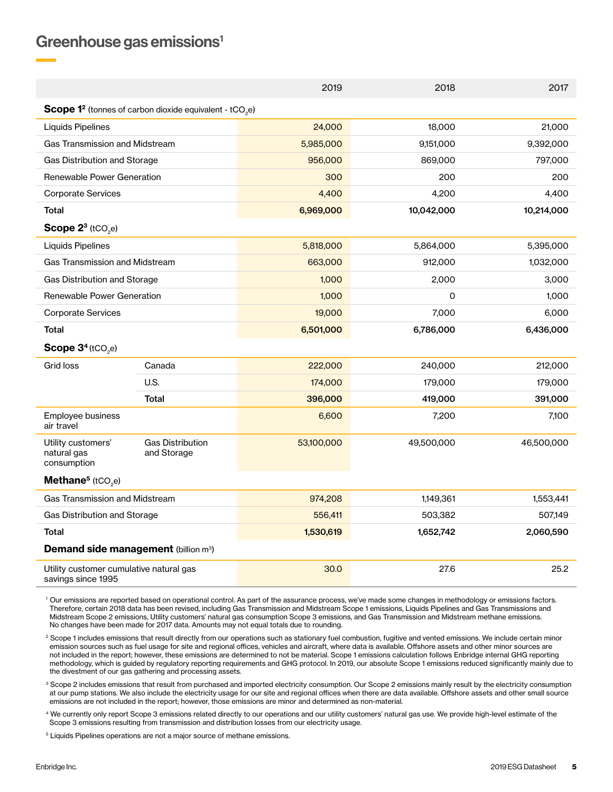## <span id="page-4-0"></span>Greenhouse gas emissions<sup>1</sup>

| 2019                                                          |                                                                                       |            | 2018       | 2017       |  |  |  |
|---------------------------------------------------------------|---------------------------------------------------------------------------------------|------------|------------|------------|--|--|--|
|                                                               | <b>Scope 1<sup>2</sup></b> (tonnes of carbon dioxide equivalent - tCO <sub>2</sub> e) |            |            |            |  |  |  |
| Liquids Pipelines                                             |                                                                                       | 24,000     | 18,000     | 21,000     |  |  |  |
| <b>Gas Transmission and Midstream</b>                         |                                                                                       | 5,985,000  | 9,151,000  | 9,392,000  |  |  |  |
| Gas Distribution and Storage                                  |                                                                                       | 956,000    | 869,000    | 797,000    |  |  |  |
| Renewable Power Generation                                    |                                                                                       | 300        | 200        | 200        |  |  |  |
| <b>Corporate Services</b>                                     |                                                                                       | 4,400      | 4,200      | 4.400      |  |  |  |
| <b>Total</b>                                                  |                                                                                       | 6,969,000  | 10,042,000 | 10,214,000 |  |  |  |
| Scope $2^3$ (tCO <sub>2</sub> e)                              |                                                                                       |            |            |            |  |  |  |
| <b>Liquids Pipelines</b>                                      |                                                                                       | 5,818,000  | 5,864,000  | 5,395,000  |  |  |  |
| <b>Gas Transmission and Midstream</b>                         |                                                                                       | 663,000    | 912,000    | 1,032,000  |  |  |  |
| Gas Distribution and Storage                                  |                                                                                       | 1,000      | 2,000      | 3,000      |  |  |  |
| <b>Renewable Power Generation</b>                             |                                                                                       | 1,000      | O          | 1,000      |  |  |  |
| <b>Corporate Services</b>                                     |                                                                                       | 19,000     | 7,000      | 6,000      |  |  |  |
| <b>Total</b>                                                  |                                                                                       | 6,501,000  | 6,786,000  | 6,436,000  |  |  |  |
| Scope $3^4$ (tCO <sub>2</sub> e)                              |                                                                                       |            |            |            |  |  |  |
| Grid loss                                                     | Canada                                                                                | 222,000    | 240,000    | 212,000    |  |  |  |
|                                                               | U.S.                                                                                  | 174,000    | 179,000    | 179,000    |  |  |  |
|                                                               | Total                                                                                 | 396,000    | 419,000    | 391,000    |  |  |  |
| Employee business<br>air travel                               |                                                                                       | 6,600      | 7,200      | 7,100      |  |  |  |
| Utility customers'<br>natural gas<br>consumption              | <b>Gas Distribution</b><br>and Storage                                                | 53,100,000 | 49,500,000 | 46,500,000 |  |  |  |
| Methane <sup>5</sup> (tCO <sub>2</sub> e)                     |                                                                                       |            |            |            |  |  |  |
| <b>Gas Transmission and Midstream</b>                         |                                                                                       | 974,208    | 1,149,361  | 1,553,441  |  |  |  |
| Gas Distribution and Storage                                  |                                                                                       | 556,411    | 503,382    | 507,149    |  |  |  |
| <b>Total</b>                                                  |                                                                                       | 1,530,619  | 1,652,742  | 2,060,590  |  |  |  |
| <b>Demand side management (billion m3)</b>                    |                                                                                       |            |            |            |  |  |  |
| Utility customer cumulative natural gas<br>savings since 1995 |                                                                                       | 30.0       | 27.6       | 25.2       |  |  |  |

<sup>1</sup> Our emissions are reported based on operational control. As part of the assurance process, we've made some changes in methodology or emissions factors. Therefore, certain 2018 data has been revised, including Gas Transmission and Midstream Scope 1 emissions, Liquids Pipelines and Gas Transmissions and Midstream Scope 2 emissions, Utility customers' natural gas consumption Scope 3 emissions, and Gas Transmission and Midstream methane emissions. No changes have been made for 2017 data. Amounts may not equal totals due to rounding.

<sup>2</sup> Scope 1 includes emissions that result directly from our operations such as stationary fuel combustion, fugitive and vented emissions. We include certain minor emission sources such as fuel usage for site and regional offices, vehicles and aircraft, where data is available. Offshore assets and other minor sources are not included in the report; however, these emissions are determined to not be material. Scope 1 emissions calculation follows Enbridge internal GHG reporting methodology, which is guided by regulatory reporting requirements and GHG protocol. In 2019, our absolute Scope 1 emissions reduced significantly mainly due to the divestment of our gas gathering and processing assets.

<sup>3</sup> Scope 2 includes emissions that result from purchased and imported electricity consumption. Our Scope 2 emissions mainly result by the electricity consumption at our pump stations. We also include the electricity usage for our site and regional offices when there are data available. Offshore assets and other small source emissions are not included in the report; however, those emissions are minor and determined as non-material.

<sup>4</sup> We currently only report Scope 3 emissions related directly to our operations and our utility customers' natural gas use. We provide high-level estimate of the Scope 3 emissions resulting from transmission and distribution losses from our electricity usage.

<sup>5</sup> Liquids Pipelines operations are not a major source of methane emissions.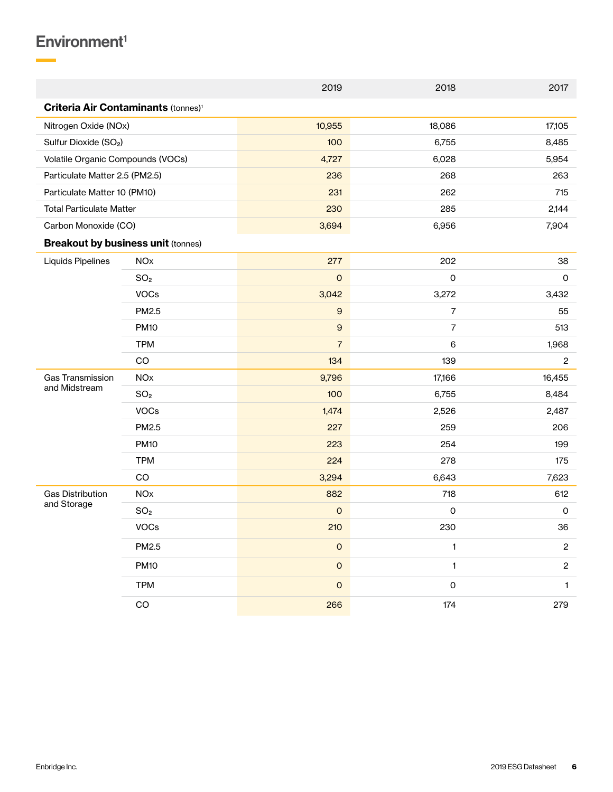# <span id="page-5-0"></span> $Environment<sup>1</sup>$

۰

|                                                       |                       | 2019                | 2018                | 2017           |
|-------------------------------------------------------|-----------------------|---------------------|---------------------|----------------|
| <b>Criteria Air Contaminants (tonnes)<sup>1</sup></b> |                       |                     |                     |                |
| Nitrogen Oxide (NOx)                                  |                       | 10,955              | 18,086              | 17,105         |
| Sulfur Dioxide (SO <sub>2</sub> )                     |                       | 100                 | 6,755               | 8,485          |
| Volatile Organic Compounds (VOCs)                     |                       | 4,727               | 6,028               | 5,954          |
| Particulate Matter 2.5 (PM2.5)                        |                       | 236                 | 268                 | 263            |
| Particulate Matter 10 (PM10)                          |                       | 231                 | 262                 | 715            |
| <b>Total Particulate Matter</b>                       |                       | 230                 | 285                 | 2,144          |
| Carbon Monoxide (CO)                                  |                       | 3,694               | 6,956               | 7,904          |
| <b>Breakout by business unit (tonnes)</b>             |                       |                     |                     |                |
| Liquids Pipelines                                     | <b>NO<sub>x</sub></b> | 277                 | 202                 | 38             |
|                                                       | SO <sub>2</sub>       | $\mathsf{O}\xspace$ | $\mathsf{O}\xspace$ | $\mathsf O$    |
|                                                       | <b>VOCs</b>           | 3,042               | 3,272               | 3,432          |
|                                                       | PM2.5                 | $\boldsymbol{9}$    | $\overline{7}$      | 55             |
|                                                       | <b>PM10</b>           | $\boldsymbol{9}$    | $\overline{7}$      | 513            |
|                                                       | <b>TPM</b>            | $\overline{7}$      | 6                   | 1,968          |
|                                                       | CO                    | 134                 | 139                 | $\overline{c}$ |
| <b>Gas Transmission</b><br>and Midstream              | <b>NO<sub>x</sub></b> | 9,796               | 17,166              | 16,455         |
|                                                       | SO <sub>2</sub>       | 100                 | 6,755               | 8,484          |
|                                                       | <b>VOCs</b>           | 1,474               | 2,526               | 2,487          |
|                                                       | PM2.5                 | 227                 | 259                 | 206            |
|                                                       | <b>PM10</b>           | 223                 | 254                 | 199            |
|                                                       | <b>TPM</b>            | 224                 | 278                 | 175            |
|                                                       | CO                    | 3,294               | 6,643               | 7,623          |
| <b>Gas Distribution</b>                               | <b>NOx</b>            | 882                 | 718                 | 612            |
| and Storage                                           | SO <sub>2</sub>       | $\mathsf{O}$        | 0                   | $\mathsf O$    |
|                                                       | VOCs                  | 210                 | 230                 | 36             |
|                                                       | PM2.5                 | $\mathsf{O}\xspace$ | $\mathbf{1}$        | $\mathbf{2}$   |
|                                                       | <b>PM10</b>           | $\mathsf{O}\xspace$ | $\mathbf{1}$        | $\overline{c}$ |
|                                                       | <b>TPM</b>            | $\mathsf O$         | $\mathsf{O}\xspace$ | $\mathbf{1}$   |
|                                                       | $_{\rm CO}$           | 266                 | 174                 | 279            |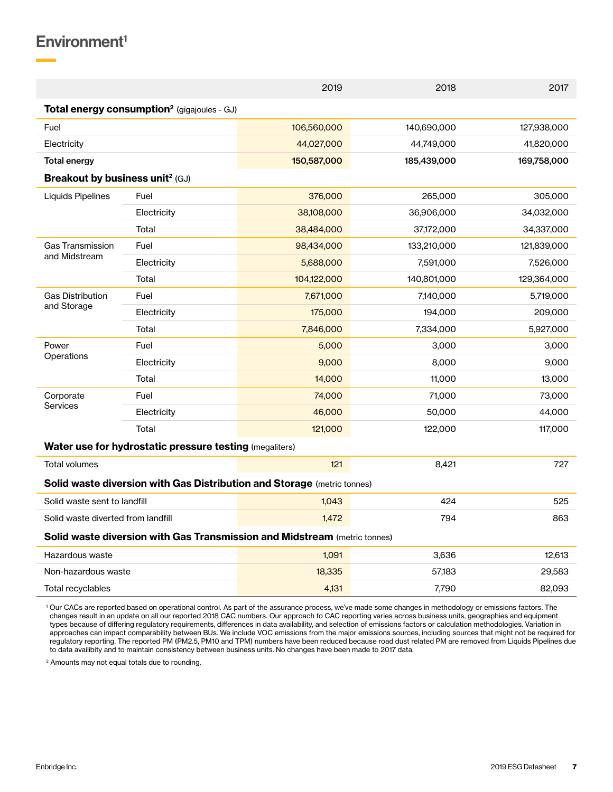## $Environment<sup>1</sup>$

|                                             |                                                                           | 2019        | 2018        | 2017        |
|---------------------------------------------|---------------------------------------------------------------------------|-------------|-------------|-------------|
|                                             | Total energy consumption <sup>2</sup> (gigajoules - GJ)                   |             |             |             |
| Fuel                                        |                                                                           | 106,560,000 | 140,690,000 | 127,938,000 |
| Electricity                                 |                                                                           | 44,027,000  | 44,749,000  | 41,820,000  |
| <b>Total energy</b>                         |                                                                           | 150,587,000 | 185,439,000 | 169,758,000 |
| Breakout by business unit <sup>2</sup> (GJ) |                                                                           |             |             |             |
| Liquids Pipelines                           | Fuel                                                                      | 376,000     | 265,000     | 305,000     |
|                                             | Electricity                                                               | 38,108,000  | 36,906,000  | 34,032,000  |
|                                             | Total                                                                     | 38,484,000  | 37,172,000  | 34,337,000  |
| Gas Transmission                            | Fuel                                                                      | 98,434,000  | 133,210,000 | 121,839,000 |
| and Midstream                               | Electricity                                                               | 5,688,000   | 7,591,000   | 7,526,000   |
|                                             | Total                                                                     | 104,122,000 | 140,801,000 | 129,364,000 |
| <b>Gas Distribution</b>                     | Fuel                                                                      | 7,671,000   | 7,140,000   | 5,719,000   |
| and Storage                                 | Electricity                                                               | 175,000     | 194,000     | 209,000     |
|                                             | Total                                                                     | 7,846,000   | 7,334,000   | 5,927,000   |
| Power                                       | Fuel                                                                      | 5,000       | 3,000       | 3,000       |
| Operations                                  | Electricity                                                               | 9,000       | 8,000       | 9,000       |
|                                             | Total                                                                     | 14,000      | 11,000      | 13,000      |
| Corporate                                   | Fuel                                                                      | 74,000      | 71,000      | 73,000      |
| Services                                    | Electricity                                                               | 46,000      | 50,000      | 44,000      |
|                                             | Total                                                                     | 121,000     | 122,000     | 117,000     |
|                                             | Water use for hydrostatic pressure testing (megaliters)                   |             |             |             |
| Total volumes                               |                                                                           | 121         | 8,421       | 727         |
|                                             | Solid waste diversion with Gas Distribution and Storage (metric tonnes)   |             |             |             |
| Solid waste sent to landfill                |                                                                           | 1,043       | 424         | 525         |
| Solid waste diverted from landfill          |                                                                           | 1.472       | 794         | 863         |
|                                             | Solid waste diversion with Gas Transmission and Midstream (metric tonnes) |             |             |             |
| Hazardous waste                             |                                                                           | 1,091       | 3,636       | 12,613      |
| Non-hazardous waste                         |                                                                           | 18,335      | 57,183      | 29,583      |
| Total recyclables                           |                                                                           | 4,131       | 7,790       | 82,093      |
|                                             |                                                                           |             |             |             |

1 Our CACs are reported based on operational control. As part of the assurance process, we've made some changes in methodology or emissions factors. The changes result in an update on all our reported 2018 CAC numbers. Our approach to CAC reporting varies across business units, geographies and equipment types because of differing regulatory requirements, differences in data availability, and selection of emissions factors or calculation methodologies. Variation in approaches can impact comparability between BUs. We include VOC emissions from the major emissions sources, including sources that might not be required for regulatory reporting. The reported PM (PM2.5, PM10 and TPM) numbers have been reduced because road dust related PM are removed from Liquids Pipelines due to data availibity and to maintain consistency between business units. No changes have been made to 2017 data.

2 Amounts may not equal totals due to rounding.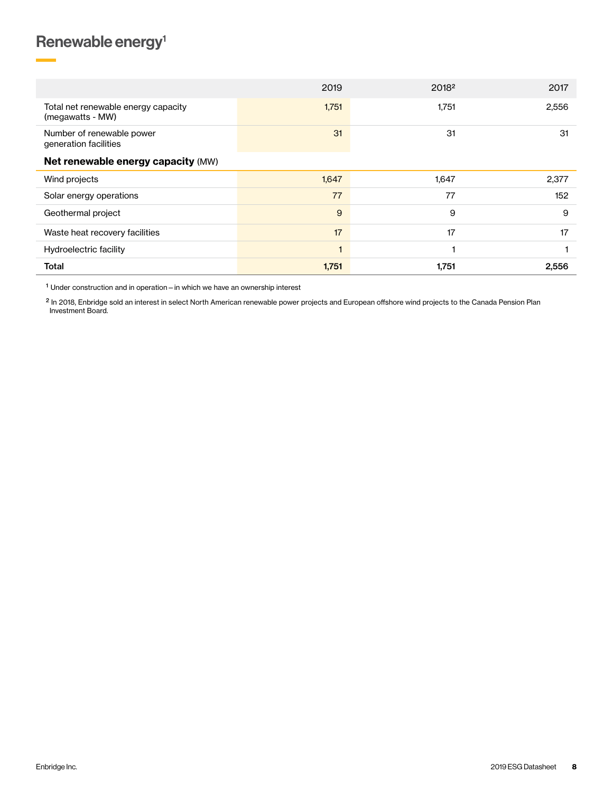# <span id="page-7-0"></span>Renewable energy<sup>1</sup>

|                                                         | 2019  | 20182 | 2017  |
|---------------------------------------------------------|-------|-------|-------|
| Total net renewable energy capacity<br>(megawatts - MW) | 1,751 | 1,751 | 2,556 |
| Number of renewable power<br>generation facilities      | 31    | 31    | 31    |
| Net renewable energy capacity (MW)                      |       |       |       |
| Wind projects                                           | 1,647 | 1,647 | 2,377 |
| Solar energy operations                                 | 77    | 77    | 152   |
| Geothermal project                                      | 9     | 9     | 9     |
| Waste heat recovery facilities                          | 17    | 17    | 17    |
| Hydroelectric facility                                  |       |       |       |
| <b>Total</b>                                            | 1,751 | 1,751 | 2,556 |

1 Under construction and in operation—in which we have an ownership interest

<sup>2</sup> In 2018, Enbridge sold an interest in select North American renewable power projects and European offshore wind projects to the Canada Pension Plan Investment Board.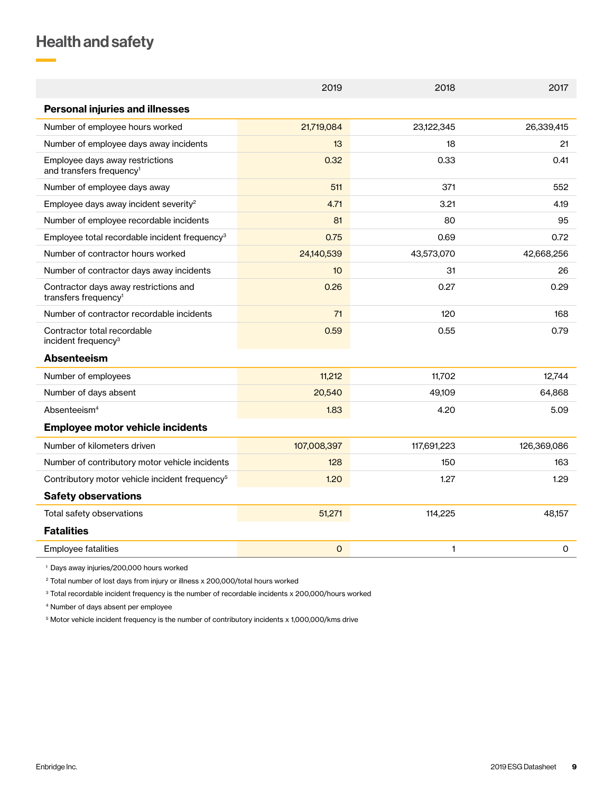# <span id="page-8-0"></span>Health and safety

|                                                                           | 2019        | 2018        | 2017        |
|---------------------------------------------------------------------------|-------------|-------------|-------------|
| <b>Personal injuries and illnesses</b>                                    |             |             |             |
| Number of employee hours worked                                           | 21,719,084  | 23,122,345  | 26,339,415  |
| Number of employee days away incidents                                    | 13          | 18          | 21          |
| Employee days away restrictions<br>and transfers frequency <sup>1</sup>   | 0.32        | 0.33        | 0.41        |
| Number of employee days away                                              | 511         | 371         | 552         |
| Employee days away incident severity <sup>2</sup>                         | 4.71        | 3.21        | 4.19        |
| Number of employee recordable incidents                                   | 81          | 80          | 95          |
| Employee total recordable incident frequency <sup>3</sup>                 | 0.75        | 0.69        | 0.72        |
| Number of contractor hours worked                                         | 24,140,539  | 43,573,070  | 42,668,256  |
| Number of contractor days away incidents                                  | 10          | 31          | 26          |
| Contractor days away restrictions and<br>transfers frequency <sup>1</sup> | 0.26        | 0.27        | 0.29        |
| Number of contractor recordable incidents                                 | 71          | 120         | 168         |
| Contractor total recordable<br>incident frequency <sup>3</sup>            | 0.59        | 0.55        | 0.79        |
| <b>Absenteeism</b>                                                        |             |             |             |
| Number of employees                                                       | 11,212      | 11,702      | 12,744      |
| Number of days absent                                                     | 20,540      | 49,109      | 64,868      |
| Absenteeism <sup>4</sup>                                                  | 1.83        | 4.20        | 5.09        |
| <b>Employee motor vehicle incidents</b>                                   |             |             |             |
| Number of kilometers driven                                               | 107,008,397 | 117,691,223 | 126,369,086 |
| Number of contributory motor vehicle incidents                            | 128         | 150         | 163         |
| Contributory motor vehicle incident frequency <sup>5</sup>                | 1.20        | 1.27        | 1.29        |
| <b>Safety observations</b>                                                |             |             |             |
| Total safety observations                                                 | 51,271      | 114,225     | 48,157      |
| <b>Fatalities</b>                                                         |             |             |             |
| <b>Employee fatalities</b>                                                | $\circ$     | 1           | 0           |
|                                                                           |             |             |             |

<sup>1</sup> Days away injuries/200,000 hours worked

<sup>2</sup> Total number of lost days from injury or illness x 200,000/total hours worked

<sup>3</sup> Total recordable incident frequency is the number of recordable incidents x 200,000/hours worked

4 Number of days absent per employee

<sup>5</sup> Motor vehicle incident frequency is the number of contributory incidents x 1,000,000/kms drive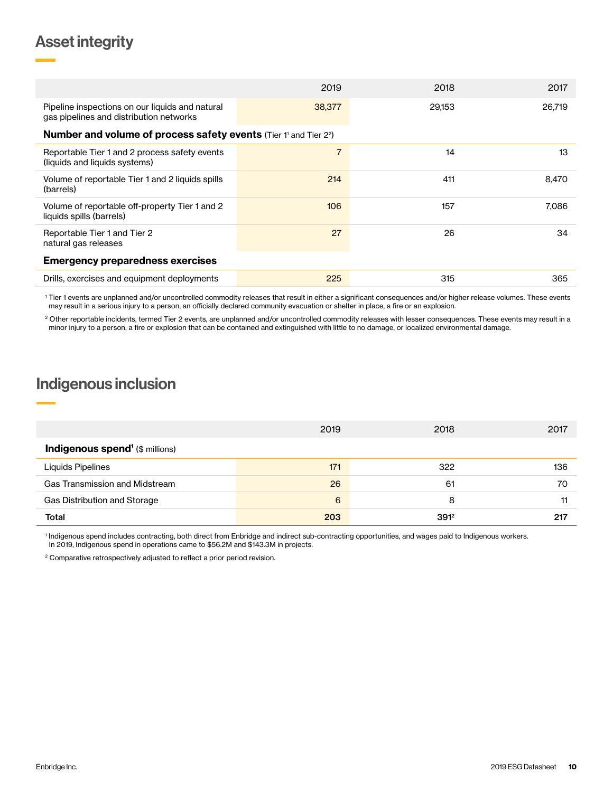## <span id="page-9-0"></span>Asset integrity

|                                                                                            | 2019           | 2018   | 2017   |
|--------------------------------------------------------------------------------------------|----------------|--------|--------|
| Pipeline inspections on our liquids and natural<br>gas pipelines and distribution networks | 38,377         | 29,153 | 26,719 |
| <b>Number and volume of process safety events (Tier 1' and Tier 22)</b>                    |                |        |        |
| Reportable Tier 1 and 2 process safety events<br>(liquids and liquids systems)             | $\overline{7}$ | 14     | 13     |
| Volume of reportable Tier 1 and 2 liquids spills<br>(barrels)                              | 214            | 411    | 8,470  |
| Volume of reportable off-property Tier 1 and 2<br>liquids spills (barrels)                 | 106            | 157    | 7.086  |
| Reportable Tier 1 and Tier 2<br>natural gas releases                                       | 27             | 26     | 34     |
| <b>Emergency preparedness exercises</b>                                                    |                |        |        |
| Drills, exercises and equipment deployments                                                | 225            | 315    | 365    |

1 Tier 1 events are unplanned and/or uncontrolled commodity releases that result in either a significant consequences and/or higher release volumes. These events may result in a serious injury to a person, an officially declared community evacuation or shelter in place, a fire or an explosion.

<sup>2</sup> Other reportable incidents, termed Tier 2 events, are unplanned and/or uncontrolled commodity releases with lesser consequences. These events may result in a minor injury to a person, a fire or explosion that can be contained and extinguished with little to no damage, or localized environmental damage.

## Indigenous inclusion

|                                                   | 2019 | 2018    | 2017 |
|---------------------------------------------------|------|---------|------|
| <b>Indigenous spend<sup>1</sup></b> (\$ millions) |      |         |      |
| Liquids Pipelines                                 | 171  | 322     | 136  |
| Gas Transmission and Midstream                    | 26   | 61      | 70   |
| Gas Distribution and Storage                      | 6    | 8       | 11   |
| Total                                             | 203  | $391^2$ | 217  |

1 Indigenous spend includes contracting, both direct from Enbridge and indirect sub-contracting opportunities, and wages paid to Indigenous workers. In 2019, Indigenous spend in operations came to \$56.2M and \$143.3M in projects.

<sup>2</sup> Comparative retrospectively adjusted to reflect a prior period revision.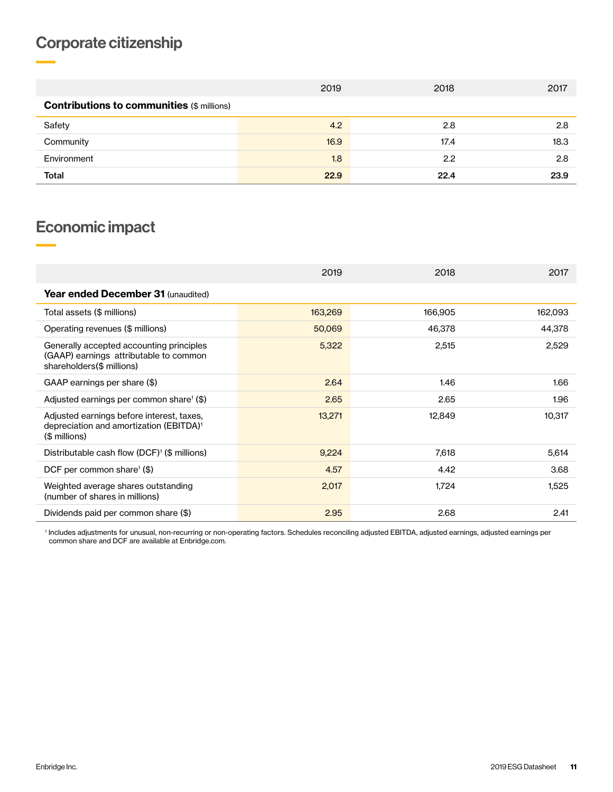# <span id="page-10-0"></span>Corporate citizenship

|                                                   | 2019 | 2018 | 2017 |  |  |
|---------------------------------------------------|------|------|------|--|--|
| <b>Contributions to communities (\$ millions)</b> |      |      |      |  |  |
| Safety                                            | 4.2  | 2.8  | 2.8  |  |  |
| Community                                         | 16.9 | 17.4 | 18.3 |  |  |
| Environment                                       | 1.8  | 2.2  | 2.8  |  |  |
| Total                                             | 22.9 | 22.4 | 23.9 |  |  |

# Economic impact

|                                                                                                                   | 2019    | 2018    | 2017    |
|-------------------------------------------------------------------------------------------------------------------|---------|---------|---------|
| <b>Year ended December 31 (unaudited)</b>                                                                         |         |         |         |
| Total assets (\$ millions)                                                                                        | 163,269 | 166,905 | 162,093 |
| Operating revenues (\$ millions)                                                                                  | 50,069  | 46,378  | 44,378  |
| Generally accepted accounting principles<br>(GAAP) earnings attributable to common<br>shareholders(\$ millions)   | 5,322   | 2,515   | 2,529   |
| GAAP earnings per share (\$)                                                                                      | 2.64    | 1.46    | 1.66    |
| Adjusted earnings per common share $(\$)$                                                                         | 2.65    | 2.65    | 1.96    |
| Adjusted earnings before interest, taxes,<br>depreciation and amortization (EBITDA) <sup>1</sup><br>(\$ millions) | 13,271  | 12,849  | 10,317  |
| Distributable cash flow (DCF) <sup>1</sup> (\$ millions)                                                          | 9,224   | 7,618   | 5,614   |
| DCF per common share <sup>1</sup> $(\$)$                                                                          | 4.57    | 4.42    | 3.68    |
| Weighted average shares outstanding<br>(number of shares in millions)                                             | 2,017   | 1,724   | 1,525   |
| Dividends paid per common share (\$)                                                                              | 2.95    | 2.68    | 2.41    |

1 Includes adjustments for unusual, non-recurring or non-operating factors. Schedules reconciling adjusted EBITDA, adjusted earnings, adjusted earnings per common share and DCF are available at Enbridge.com.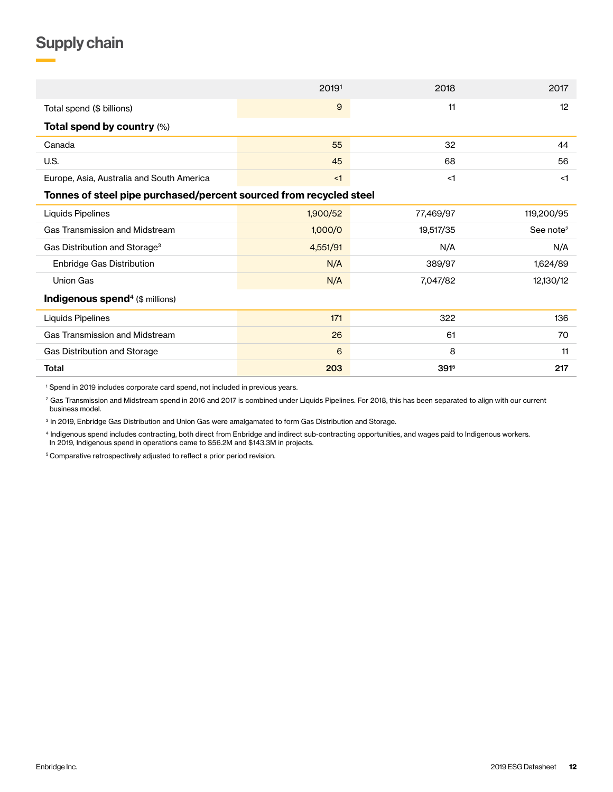# <span id="page-11-0"></span>Supply chain

|                                                                    | 20191    | 2018      | 2017                  |
|--------------------------------------------------------------------|----------|-----------|-----------------------|
| Total spend (\$ billions)                                          | 9        | 11        | 12                    |
| Total spend by country (%)                                         |          |           |                       |
| Canada                                                             | 55       | 32        | 44                    |
| U.S.                                                               | 45       | 68        | 56                    |
| Europe, Asia, Australia and South America                          | $<$ 1    | $<$ 1     | <1                    |
| Tonnes of steel pipe purchased/percent sourced from recycled steel |          |           |                       |
| Liquids Pipelines                                                  | 1,900/52 | 77,469/97 | 119,200/95            |
| <b>Gas Transmission and Midstream</b>                              | 1,000/0  | 19,517/35 | See note <sup>2</sup> |
| Gas Distribution and Storage <sup>3</sup>                          | 4,551/91 | N/A       | N/A                   |
| Enbridge Gas Distribution                                          | N/A      | 389/97    | 1,624/89              |
| <b>Union Gas</b>                                                   | N/A      | 7,047/82  | 12,130/12             |
| Indigenous spend <sup>4</sup> (\$ millions)                        |          |           |                       |
| Liquids Pipelines                                                  | 171      | 322       | 136                   |
| Gas Transmission and Midstream                                     | 26       | 61        | 70                    |
| Gas Distribution and Storage                                       | 6        | 8         | 11                    |
| <b>Total</b>                                                       | 203      | 3915      | 217                   |

1 Spend in 2019 includes corporate card spend, not included in previous years.

<sup>2</sup> Gas Transmission and Midstream spend in 2016 and 2017 is combined under Liquids Pipelines. For 2018, this has been separated to align with our current business model.

<sup>3</sup> In 2019, Enbridge Gas Distribution and Union Gas were amalgamated to form Gas Distribution and Storage.

4 Indigenous spend includes contracting, both direct from Enbridge and indirect sub-contracting opportunities, and wages paid to Indigenous workers. In 2019, Indigenous spend in operations came to \$56.2M and \$143.3M in projects.

5 Comparative retrospectively adjusted to reflect a prior period revision.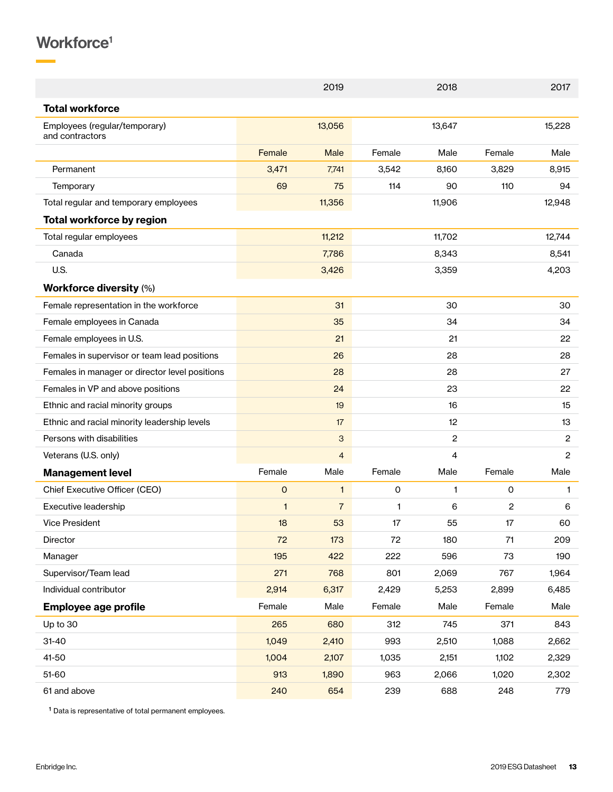# <span id="page-12-0"></span>Workforce<sup>1</sup>

|                                                  |                     | 2019           |              | 2018           |        | 2017           |
|--------------------------------------------------|---------------------|----------------|--------------|----------------|--------|----------------|
| <b>Total workforce</b>                           |                     |                |              |                |        |                |
| Employees (regular/temporary)<br>and contractors |                     | 13,056         |              | 13,647         |        | 15,228         |
|                                                  | Female              | <b>Male</b>    | Female       | Male           | Female | Male           |
| Permanent                                        | 3,471               | 7,741          | 3,542        | 8,160          | 3,829  | 8,915          |
| Temporary                                        | 69                  | 75             | 114          | 90             | 110    | 94             |
| Total regular and temporary employees            |                     | 11,356         |              | 11,906         |        | 12,948         |
| <b>Total workforce by region</b>                 |                     |                |              |                |        |                |
| Total regular employees                          |                     | 11,212         |              | 11,702         |        | 12,744         |
| Canada                                           |                     | 7,786          |              | 8,343          |        | 8,541          |
| U.S.                                             |                     | 3,426          |              | 3,359          |        | 4,203          |
| <b>Workforce diversity (%)</b>                   |                     |                |              |                |        |                |
| Female representation in the workforce           |                     | 31             |              | 30             |        | 30             |
| Female employees in Canada                       |                     | 35             |              | 34             |        | 34             |
| Female employees in U.S.                         |                     | 21             |              | 21             |        | 22             |
| Females in supervisor or team lead positions     |                     | 26             |              | 28             |        | 28             |
| Females in manager or director level positions   |                     | 28             |              | 28             |        | 27             |
| Females in VP and above positions                |                     | 24             |              | 23             |        | 22             |
| Ethnic and racial minority groups                |                     | 19             |              | 16             |        | 15             |
| Ethnic and racial minority leadership levels     |                     | 17             |              | 12             |        | 13             |
| Persons with disabilities                        |                     | 3              |              | $\overline{c}$ |        | $\overline{c}$ |
| Veterans (U.S. only)                             |                     | $\overline{4}$ |              | 4              |        | $\overline{2}$ |
| <b>Management level</b>                          | Female              | Male           | Female       | Male           | Female | Male           |
| Chief Executive Officer (CEO)                    | $\mathsf{O}\xspace$ | $\mathbf{1}$   | $\mathbf 0$  | $\mathbf{1}$   | 0      | 1              |
| Executive leadership                             | $\mathbf{1}$        | $\overline{7}$ | $\mathbf{1}$ | 6              | 2      | 6              |
| <b>Vice President</b>                            | 18                  | 53             | 17           | 55             | 17     | 60             |
| Director                                         | 72                  | 173            | 72           | 180            | $71\,$ | 209            |
| Manager                                          | 195                 | 422            | 222          | 596            | 73     | 190            |
| Supervisor/Team lead                             | 271                 | 768            | 801          | 2,069          | 767    | 1,964          |
| Individual contributor                           | 2,914               | 6,317          | 2,429        | 5,253          | 2,899  | 6,485          |
| <b>Employee age profile</b>                      | Female              | Male           | Female       | Male           | Female | Male           |
| Up to 30                                         | 265                 | 680            | 312          | 745            | 371    | 843            |
| $31 - 40$                                        | 1,049               | 2,410          | 993          | 2,510          | 1,088  | 2,662          |
| 41-50                                            | 1,004               | 2,107          | 1,035        | 2,151          | 1,102  | 2,329          |
| 51-60                                            | 913                 | 1,890          | 963          | 2,066          | 1,020  | 2,302          |
| 61 and above                                     | 240                 | 654            | 239          | 688            | 248    | 779            |

1 Data is representative of total permanent employees.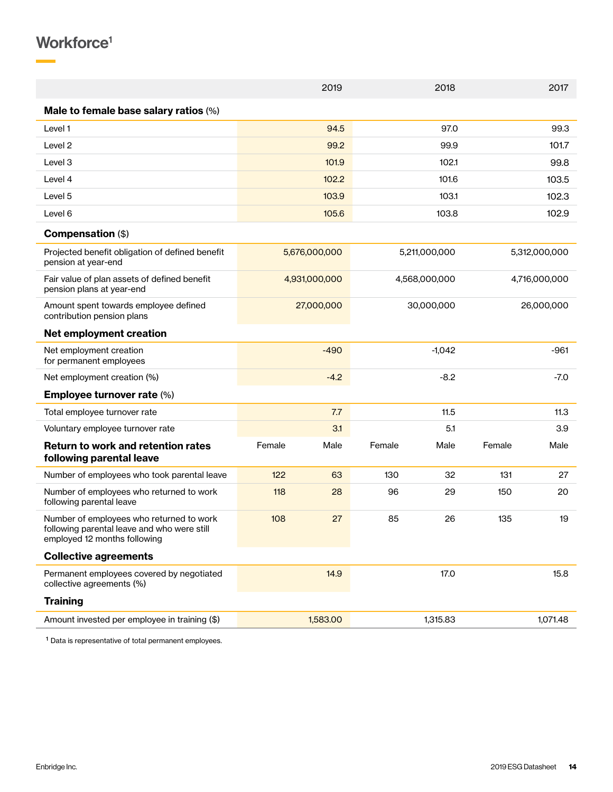# Workforce<sup>1</sup>

|                                                                                                                         |        | 2019          |        | 2018          |        | 2017          |
|-------------------------------------------------------------------------------------------------------------------------|--------|---------------|--------|---------------|--------|---------------|
| Male to female base salary ratios (%)                                                                                   |        |               |        |               |        |               |
| Level 1                                                                                                                 |        | 94.5          |        | 97.0          |        | 99.3          |
| Level 2                                                                                                                 |        | 99.2          |        | 99.9          |        | 101.7         |
| Level <sub>3</sub>                                                                                                      |        | 101.9         |        | 102.1         |        | 99.8          |
| Level 4                                                                                                                 |        | 102.2         |        | 101.6         |        | 103.5         |
| Level 5                                                                                                                 |        | 103.9         |        | 103.1         |        | 102.3         |
| Level 6                                                                                                                 |        | 105.6         |        | 103.8         |        | 102.9         |
| Compensation (\$)                                                                                                       |        |               |        |               |        |               |
| Projected benefit obligation of defined benefit<br>pension at year-end                                                  |        | 5,676,000,000 |        | 5,211,000,000 |        | 5,312,000,000 |
| Fair value of plan assets of defined benefit<br>pension plans at year-end                                               |        | 4,931,000,000 |        | 4,568,000,000 |        | 4,716,000,000 |
| Amount spent towards employee defined<br>contribution pension plans                                                     |        | 27,000,000    |        | 30,000,000    |        | 26,000,000    |
| <b>Net employment creation</b>                                                                                          |        |               |        |               |        |               |
| Net employment creation<br>for permanent employees                                                                      |        | $-490$        |        | $-1,042$      |        | $-961$        |
| Net employment creation (%)                                                                                             |        | $-4.2$        |        | $-8.2$        |        | $-7.0$        |
| <b>Employee turnover rate (%)</b>                                                                                       |        |               |        |               |        |               |
| Total employee turnover rate                                                                                            |        | 7.7           |        | 11.5          |        | 11.3          |
| Voluntary employee turnover rate                                                                                        |        | 3.1           |        | 5.1           |        | 3.9           |
| <b>Return to work and retention rates</b><br>following parental leave                                                   | Female | Male          | Female | Male          | Female | Male          |
| Number of employees who took parental leave                                                                             | 122    | 63            | 130    | 32            | 131    | 27            |
| Number of employees who returned to work<br>following parental leave                                                    | 118    | 28            | 96     | 29            | 150    | 20            |
| Number of employees who returned to work<br>following parental leave and who were still<br>employed 12 months following | 108    | 27            | 85     | 26            | 135    | 19            |
| <b>Collective agreements</b>                                                                                            |        |               |        |               |        |               |
| Permanent employees covered by negotiated<br>collective agreements (%)                                                  |        | 14.9          |        | 17.0          |        | 15.8          |
| <b>Training</b>                                                                                                         |        |               |        |               |        |               |
| Amount invested per employee in training (\$)                                                                           |        | 1,583.00      |        | 1,315.83      |        | 1,071.48      |
|                                                                                                                         |        |               |        |               |        |               |

1 Data is representative of total permanent employees.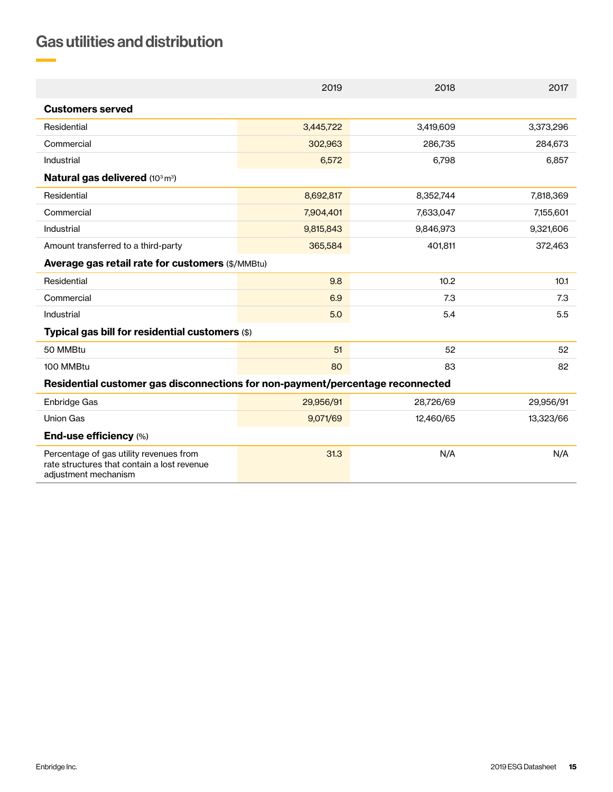# <span id="page-14-0"></span>Gas utilities and distribution

|                                                                                                                | 2019      | 2018      | 2017      |  |  |  |
|----------------------------------------------------------------------------------------------------------------|-----------|-----------|-----------|--|--|--|
| <b>Customers served</b>                                                                                        |           |           |           |  |  |  |
| Residential                                                                                                    | 3,445,722 | 3,419,609 | 3,373,296 |  |  |  |
| Commercial                                                                                                     | 302,963   | 286,735   | 284,673   |  |  |  |
| Industrial                                                                                                     | 6,572     | 6,798     | 6,857     |  |  |  |
| Natural gas delivered (103 m <sup>3</sup> )                                                                    |           |           |           |  |  |  |
| Residential                                                                                                    | 8,692,817 | 8,352,744 | 7,818,369 |  |  |  |
| Commercial                                                                                                     | 7,904,401 | 7,633,047 | 7,155,601 |  |  |  |
| Industrial                                                                                                     | 9,815,843 | 9,846,973 | 9,321,606 |  |  |  |
| Amount transferred to a third-party                                                                            | 365,584   | 401,811   | 372,463   |  |  |  |
| Average gas retail rate for customers (\$/MMBtu)                                                               |           |           |           |  |  |  |
| Residential                                                                                                    | 9.8       | 10.2      | 10.1      |  |  |  |
| Commercial                                                                                                     | 6.9       | 7.3       | 7.3       |  |  |  |
| Industrial                                                                                                     | 5.0       | 5.4       | 5.5       |  |  |  |
| Typical gas bill for residential customers (\$)                                                                |           |           |           |  |  |  |
| 50 MMBtu                                                                                                       | 51        | 52        | 52        |  |  |  |
| 100 MMBtu                                                                                                      | 80        | 83        | 82        |  |  |  |
| Residential customer gas disconnections for non-payment/percentage reconnected                                 |           |           |           |  |  |  |
| Enbridge Gas                                                                                                   | 29,956/91 | 28,726/69 | 29,956/91 |  |  |  |
| <b>Union Gas</b>                                                                                               | 9,071/69  | 12,460/65 | 13,323/66 |  |  |  |
| End-use efficiency (%)                                                                                         |           |           |           |  |  |  |
| Percentage of gas utility revenues from<br>rate structures that contain a lost revenue<br>adjustment mechanism | 31.3      | N/A       | N/A       |  |  |  |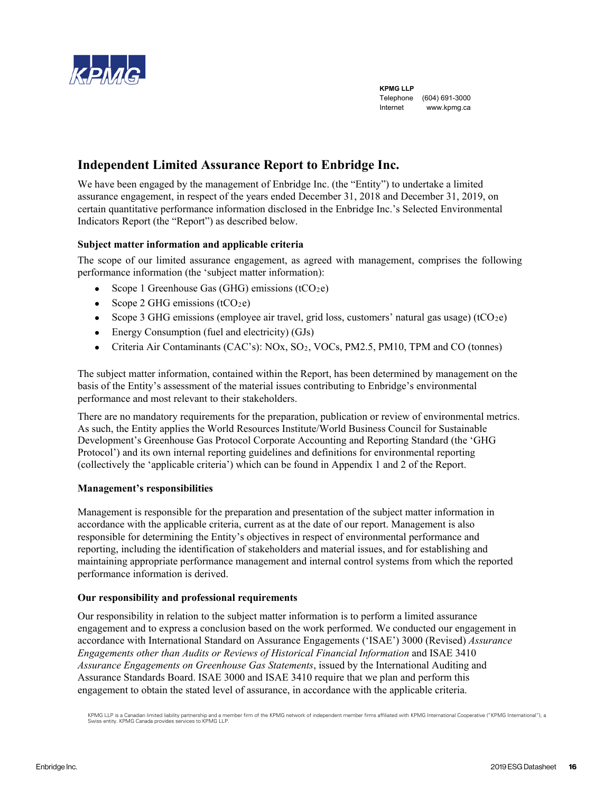<span id="page-15-0"></span>

**KPMG LLP** Telephone (604) 691-3000 Internet www.kpmg.ca

## **Independent Limited Assurance Report to Enbridge Inc.**

We have been engaged by the management of Enbridge Inc. (the "Entity") to undertake a limited assurance engagement, in respect of the years ended December 31, 2018 and December 31, 2019, on certain quantitative performance information disclosed in the Enbridge Inc.'s Selected Environmental Indicators Report (the "Report") as described below.

## **Subject matter information and applicable criteria**

The scope of our limited assurance engagement, as agreed with management, comprises the following performance information (the 'subject matter information):

- Scope 1 Greenhouse Gas (GHG) emissions ( $tCO<sub>2</sub>e$ )
- Scope 2 GHG emissions  $(tCO<sub>2</sub>e)$
- Scope 3 GHG emissions (employee air travel, grid loss, customers' natural gas usage) (tCO<sub>2</sub>e)
- Energy Consumption (fuel and electricity) (GJs)
- Criteria Air Contaminants (CAC's): NOx, SO<sub>2</sub>, VOCs, PM2.5, PM10, TPM and CO (tonnes)

The subject matter information, contained within the Report, has been determined by management on the basis of the Entity's assessment of the material issues contributing to Enbridge's environmental performance and most relevant to their stakeholders.

There are no mandatory requirements for the preparation, publication or review of environmental metrics. As such, the Entity applies the World Resources Institute/World Business Council for Sustainable Development's Greenhouse Gas Protocol Corporate Accounting and Reporting Standard (the 'GHG Protocol') and its own internal reporting guidelines and definitions for environmental reporting (collectively the 'applicable criteria') which can be found in Appendix 1 and 2 of the Report.

## **Management's responsibilities**

Management is responsible for the preparation and presentation of the subject matter information in accordance with the applicable criteria, current as at the date of our report. Management is also responsible for determining the Entity's objectives in respect of environmental performance and reporting, including the identification of stakeholders and material issues, and for establishing and maintaining appropriate performance management and internal control systems from which the reported performance information is derived.

## **Our responsibility and professional requirements**

Our responsibility in relation to the subject matter information is to perform a limited assurance engagement and to express a conclusion based on the work performed. We conducted our engagement in accordance with International Standard on Assurance Engagements ('ISAE') 3000 (Revised) *Assurance Engagements other than Audits or Reviews of Historical Financial Information* and ISAE 3410 *Assurance Engagements on Greenhouse Gas Statements*, issued by the International Auditing and Assurance Standards Board. ISAE 3000 and ISAE 3410 require that we plan and perform this engagement to obtain the stated level of assurance, in accordance with the applicable criteria.

KPMG LLP is a Canadian limited liability partnership and a member firm of the KPMG network of independent member firms affiliated with KPMG International Cooperative ("KPMG International"), a<br>Swiss entity. KPMG Canada prov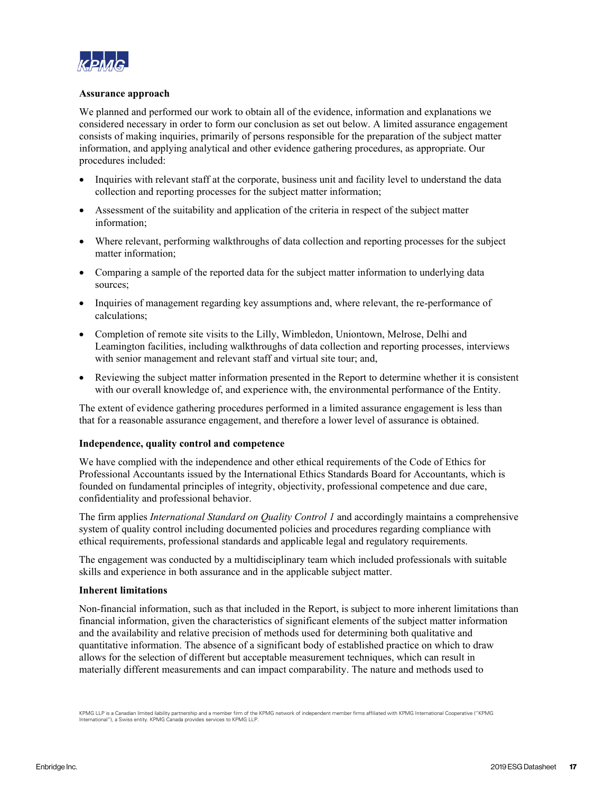

### **Assurance approach**

We planned and performed our work to obtain all of the evidence, information and explanations we considered necessary in order to form our conclusion as set out below. A limited assurance engagement consists of making inquiries, primarily of persons responsible for the preparation of the subject matter information, and applying analytical and other evidence gathering procedures, as appropriate. Our procedures included:

- Inquiries with relevant staff at the corporate, business unit and facility level to understand the data collection and reporting processes for the subject matter information;
- Assessment of the suitability and application of the criteria in respect of the subject matter information;
- Where relevant, performing walkthroughs of data collection and reporting processes for the subject matter information;
- Comparing a sample of the reported data for the subject matter information to underlying data sources;
- Inquiries of management regarding key assumptions and, where relevant, the re-performance of calculations;
- Completion of remote site visits to the Lilly, Wimbledon, Uniontown, Melrose, Delhi and Leamington facilities, including walkthroughs of data collection and reporting processes, interviews with senior management and relevant staff and virtual site tour; and,
- Reviewing the subject matter information presented in the Report to determine whether it is consistent with our overall knowledge of, and experience with, the environmental performance of the Entity.

The extent of evidence gathering procedures performed in a limited assurance engagement is less than that for a reasonable assurance engagement, and therefore a lower level of assurance is obtained.

### **Independence, quality control and competence**

We have complied with the independence and other ethical requirements of the Code of Ethics for Professional Accountants issued by the International Ethics Standards Board for Accountants, which is founded on fundamental principles of integrity, objectivity, professional competence and due care, confidentiality and professional behavior.

The firm applies *International Standard on Quality Control 1* and accordingly maintains a comprehensive system of quality control including documented policies and procedures regarding compliance with ethical requirements, professional standards and applicable legal and regulatory requirements.

The engagement was conducted by a multidisciplinary team which included professionals with suitable skills and experience in both assurance and in the applicable subject matter.

### **Inherent limitations**

Non-financial information, such as that included in the Report, is subject to more inherent limitations than financial information, given the characteristics of significant elements of the subject matter information and the availability and relative precision of methods used for determining both qualitative and quantitative information. The absence of a significant body of established practice on which to draw allows for the selection of different but acceptable measurement techniques, which can result in materially different measurements and can impact comparability. The nature and methods used to

KPMG LLP is a Canadian limited liability partnership and a member firm of the KPMG network of independent member firms affiliated with KPMG International Cooperative ("KPMG International"), a Swiss entity. KPMG Canada provides services to KPMG LLP.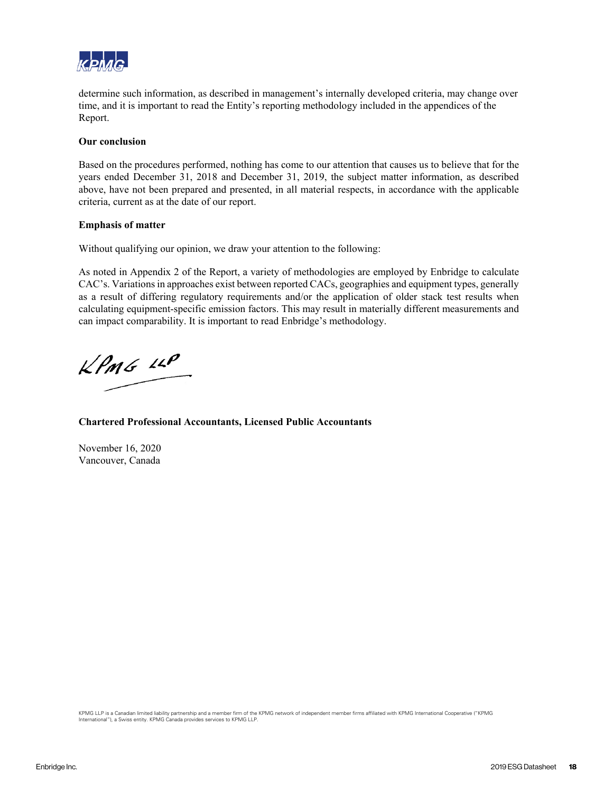

determine such information, as described in management's internally developed criteria, may change over time, and it is important to read the Entity's reporting methodology included in the appendices of the Report.

#### **Our conclusion**

Based on the procedures performed, nothing has come to our attention that causes us to believe that for the years ended December 31, 2018 and December 31, 2019, the subject matter information, as described above, have not been prepared and presented, in all material respects, in accordance with the applicable criteria, current as at the date of our report.

#### **Emphasis of matter**

Without qualifying our opinion, we draw your attention to the following:

As noted in Appendix 2 of the Report, a variety of methodologies are employed by Enbridge to calculate CAC's. Variations in approaches exist between reported CACs, geographies and equipment types, generally as a result of differing regulatory requirements and/or the application of older stack test results when calculating equipment-specific emission factors. This may result in materially different measurements and can impact comparability. It is important to read Enbridge's methodology.

 $k$ *PMG*  $\mu$ 

**Chartered Professional Accountants, Licensed Public Accountants**

November 16, 2020 Vancouver, Canada

KPMG LLP is a Canadian limited liability partnership and a member firm of the KPMG network of independent member firms affiliated with KPMG International Cooperative ("KPMG International"), a Swiss entity. KPMG Canada provides services to KPMG LLP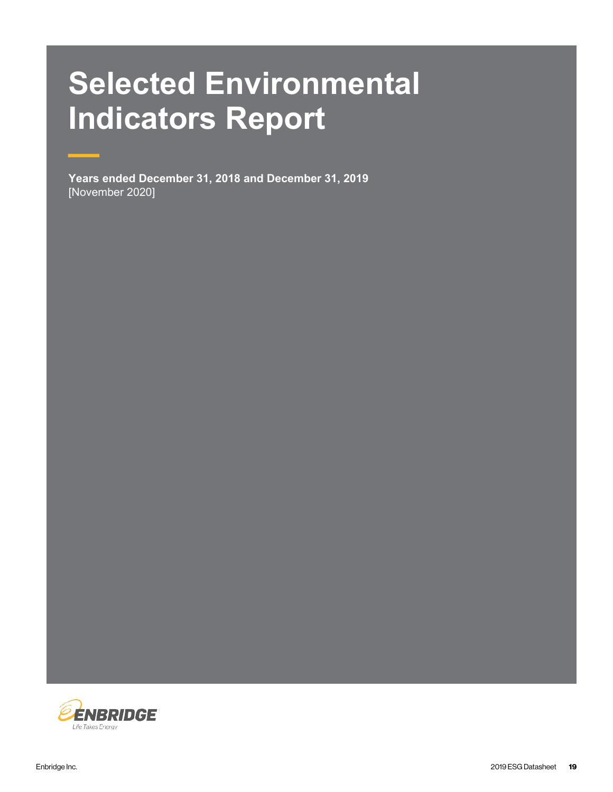# **Selected Environmental Indicators Report**

**Years ended December 31, 2018 and December 31, 2019** [November 2020]

—

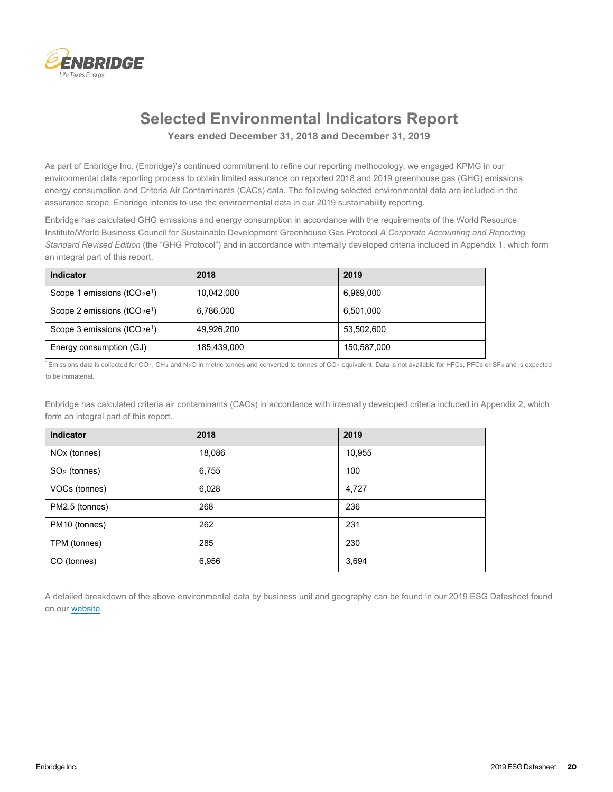

## **Selected Environmental Indicators Report Years ended December 31, 2018 and December 31, 2019**

As part of Enbridge Inc. (Enbridge)'s continued commitment to refine our reporting methodology, we engaged KPMG in our environmental data reporting process to obtain limited assurance on reported 2018 and 2019 greenhouse gas (GHG) emissions, energy consumption and Criteria Air Contaminants (CACs) data. The following selected environmental data are included in the assurance scope. Enbridge intends to use the environmental data in our 2019 sustainability reporting.

Enbridge has calculated GHG emissions and energy consumption in accordance with the requirements of the World Resource Institute/World Business Council for Sustainable Development Greenhouse Gas Protocol *A Corporate Accounting and Reporting Standard Revised Edition* (the "GHG Protocol") and in accordance with internally developed criteria included in Appendix 1, which form an integral part of this report.

| Indicator                      | 2018        | 2019        |
|--------------------------------|-------------|-------------|
| Scope 1 emissions ( $tCO2e1$ ) | 10,042,000  | 6,969,000   |
| Scope 2 emissions ( $tCO2e1$ ) | 6,786,000   | 6,501,000   |
| Scope 3 emissions ( $tCO2e1$ ) | 49,926,200  | 53,502,600  |
| Energy consumption (GJ)        | 185,439,000 | 150,587,000 |

<sup>1</sup>Emissions data is collected for CO<sub>2</sub>, CH<sub>4</sub> and N<sub>2</sub>O in metric tonnes and converted to tonnes of CO<sub>2</sub> equivalent. Data is not available for HFCs, PFCs or SF<sub>6</sub> and is expected to be immaterial.

Enbridge has calculated criteria air contaminants (CACs) in accordance with internally developed criteria included in Appendix 2, which form an integral part of this report.

| Indicator                | 2018   | 2019   |
|--------------------------|--------|--------|
| NO <sub>x</sub> (tonnes) | 18,086 | 10,955 |
| $SO2$ (tonnes)           | 6,755  | 100    |
| VOCs (tonnes)            | 6,028  | 4,727  |
| PM2.5 (tonnes)           | 268    | 236    |
| PM10 (tonnes)            | 262    | 231    |
| TPM (tonnes)             | 285    | 230    |
| CO (tonnes)              | 6,956  | 3,694  |

A detailed breakdown of the above environmental data by business unit and geography can be found in our 2019 ESG Datasheet found on our **website**.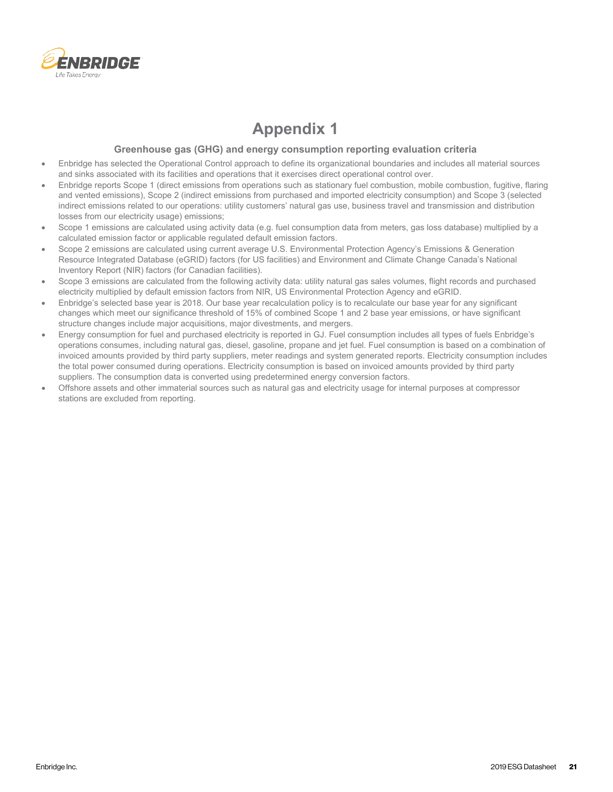

## **Appendix 1**

#### **Greenhouse gas (GHG) and energy consumption reporting evaluation criteria**

- Enbridge has selected the Operational Control approach to define its organizational boundaries and includes all material sources and sinks associated with its facilities and operations that it exercises direct operational control over.
- Enbridge reports Scope 1 (direct emissions from operations such as stationary fuel combustion, mobile combustion, fugitive, flaring and vented emissions), Scope 2 (indirect emissions from purchased and imported electricity consumption) and Scope 3 (selected indirect emissions related to our operations: utility customers' natural gas use, business travel and transmission and distribution losses from our electricity usage) emissions;
- Scope 1 emissions are calculated using activity data (e.g. fuel consumption data from meters, gas loss database) multiplied by a calculated emission factor or applicable regulated default emission factors.
- Scope 2 emissions are calculated using current average U.S. Environmental Protection Agency's Emissions & Generation Resource Integrated Database (eGRID) factors (for US facilities) and Environment and Climate Change Canada's National Inventory Report (NIR) factors (for Canadian facilities).
- Scope 3 emissions are calculated from the following activity data: utility natural gas sales volumes, flight records and purchased electricity multiplied by default emission factors from NIR, US Environmental Protection Agency and eGRID.
- Enbridge's selected base year is 2018. Our base year recalculation policy is to recalculate our base year for any significant changes which meet our significance threshold of 15% of combined Scope 1 and 2 base year emissions, or have significant structure changes include major acquisitions, major divestments, and mergers.
- Energy consumption for fuel and purchased electricity is reported in GJ. Fuel consumption includes all types of fuels Enbridge's operations consumes, including natural gas, diesel, gasoline, propane and jet fuel. Fuel consumption is based on a combination of invoiced amounts provided by third party suppliers, meter readings and system generated reports. Electricity consumption includes the total power consumed during operations. Electricity consumption is based on invoiced amounts provided by third party suppliers. The consumption data is converted using predetermined energy conversion factors.
- Offshore assets and other immaterial sources such as natural gas and electricity usage for internal purposes at compressor stations are excluded from reporting.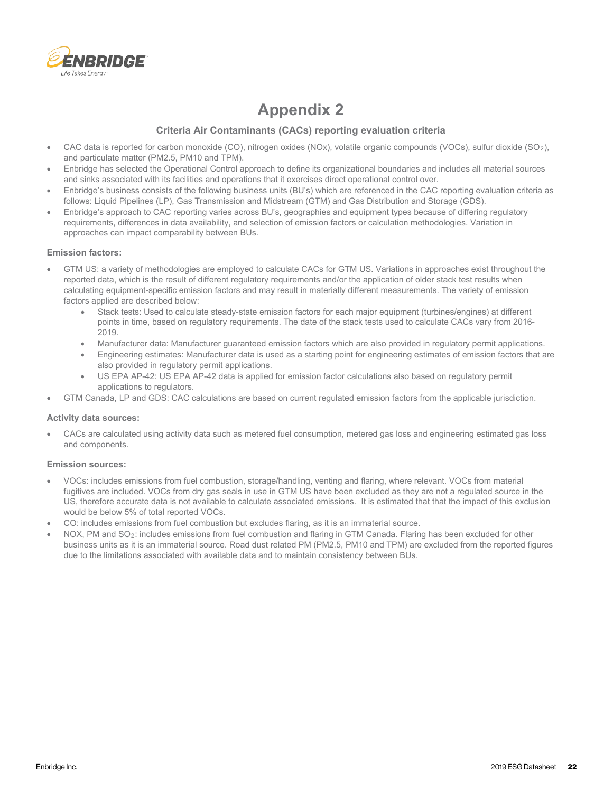

# **Appendix 2**

## **Criteria Air Contaminants (CACs) reporting evaluation criteria**

- CAC data is reported for carbon monoxide (CO), nitrogen oxides (NOx), volatile organic compounds (VOCs), sulfur dioxide (SO2), and particulate matter (PM2.5, PM10 and TPM).
- Enbridge has selected the Operational Control approach to define its organizational boundaries and includes all material sources and sinks associated with its facilities and operations that it exercises direct operational control over.
- Enbridge's business consists of the following business units (BU's) which are referenced in the CAC reporting evaluation criteria as follows: Liquid Pipelines (LP), Gas Transmission and Midstream (GTM) and Gas Distribution and Storage (GDS).
- Enbridge's approach to CAC reporting varies across BU's, geographies and equipment types because of differing regulatory requirements, differences in data availability, and selection of emission factors or calculation methodologies. Variation in approaches can impact comparability between BUs.

#### **Emission factors:**

- GTM US: a variety of methodologies are employed to calculate CACs for GTM US. Variations in approaches exist throughout the reported data, which is the result of different regulatory requirements and/or the application of older stack test results when calculating equipment-specific emission factors and may result in materially different measurements. The variety of emission factors applied are described below:
	- Stack tests: Used to calculate steady-state emission factors for each major equipment (turbines/engines) at different points in time, based on regulatory requirements. The date of the stack tests used to calculate CACs vary from 2016- 2019.
	- Manufacturer data: Manufacturer guaranteed emission factors which are also provided in regulatory permit applications.
	- Engineering estimates: Manufacturer data is used as a starting point for engineering estimates of emission factors that are also provided in regulatory permit applications.
	- US EPA AP-42: US EPA AP-42 data is applied for emission factor calculations also based on regulatory permit applications to regulators.
- GTM Canada, LP and GDS: CAC calculations are based on current regulated emission factors from the applicable jurisdiction.

#### **Activity data sources:**

• CACs are calculated using activity data such as metered fuel consumption, metered gas loss and engineering estimated gas loss and components.

#### **Emission sources:**

- VOCs: includes emissions from fuel combustion, storage/handling, venting and flaring, where relevant. VOCs from material fugitives are included. VOCs from dry gas seals in use in GTM US have been excluded as they are not a regulated source in the US, therefore accurate data is not available to calculate associated emissions. It is estimated that that the impact of this exclusion would be below 5% of total reported VOCs.
- CO: includes emissions from fuel combustion but excludes flaring, as it is an immaterial source.
- NOX, PM and SO2: includes emissions from fuel combustion and flaring in GTM Canada. Flaring has been excluded for other business units as it is an immaterial source. Road dust related PM (PM2.5, PM10 and TPM) are excluded from the reported figures due to the limitations associated with available data and to maintain consistency between BUs.